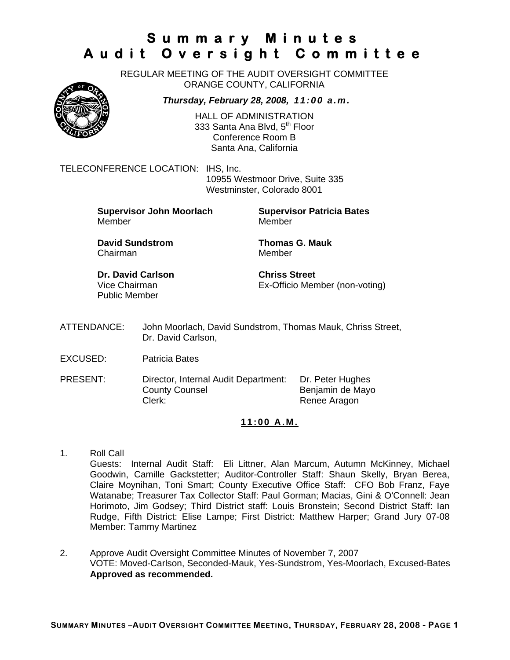REGULAR MEETING OF THE AUDIT OVERSIGHT COMMITTEE ORANGE COUNTY, CALIFORNIA

*Thursday, February 28, 2008, 11:00 a.m.*

HALL OF ADMINISTRATION 333 Santa Ana Blvd, 5<sup>th</sup> Floor Conference Room B Santa Ana, California

TELECONFERENCE LOCATION: IHS, Inc.

 10955 Westmoor Drive, Suite 335 Westminster, Colorado 8001

**Supervisor John Moorlach Supervisor Patricia Bates** Member Member

**David Sundstrom Thomas G. Mauk**  Chairman Member

**Dr. David Carlson Chriss Street** Public Member

Vice Chairman Ex-Officio Member (non-voting)

- ATTENDANCE: John Moorlach, David Sundstrom, Thomas Mauk, Chriss Street, Dr. David Carlson,
- EXCUSED: Patricia Bates
- PRESENT: Director, Internal Audit Department: Dr. Peter Hughes County Counsel **Benjamin de Mayo** Clerk: Clerk: Renee Aragon

#### **11:00 A.M.**

- 1. Roll Call Guests: Internal Audit Staff: Eli Littner, Alan Marcum, Autumn McKinney, Michael Goodwin, Camille Gackstetter; Auditor-Controller Staff: Shaun Skelly, Bryan Berea, Claire Moynihan, Toni Smart; County Executive Office Staff: CFO Bob Franz, Faye Watanabe; Treasurer Tax Collector Staff: Paul Gorman; Macias, Gini & O'Connell: Jean Horimoto, Jim Godsey; Third District staff: Louis Bronstein; Second District Staff: Ian Rudge, Fifth District: Elise Lampe; First District: Matthew Harper; Grand Jury 07-08 Member: Tammy Martinez
- 2. Approve Audit Oversight Committee Minutes of November 7, 2007 VOTE: Moved-Carlson, Seconded-Mauk, Yes-Sundstrom, Yes-Moorlach, Excused-Bates **Approved as recommended.**

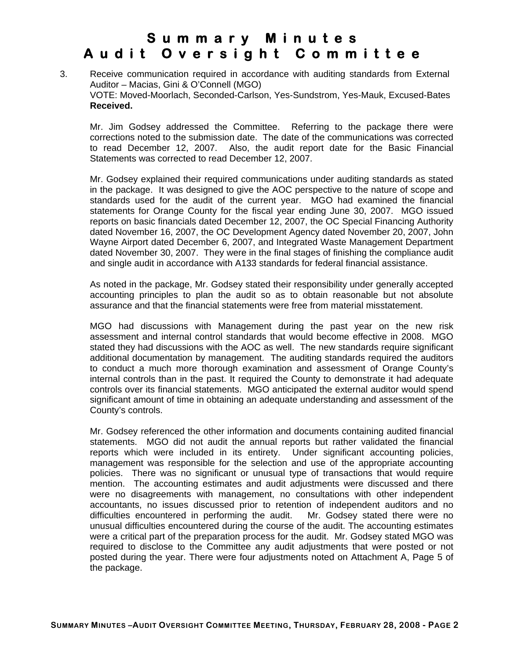### 3. Receive communication required in accordance with auditing standards from External Auditor – Macias, Gini & O'Connell (MGO) VOTE: Moved-Moorlach, Seconded-Carlson, Yes-Sundstrom, Yes-Mauk, Excused-Bates **Received.**

Mr. Jim Godsey addressed the Committee. Referring to the package there were corrections noted to the submission date. The date of the communications was corrected to read December 12, 2007. Also, the audit report date for the Basic Financial Statements was corrected to read December 12, 2007.

Mr. Godsey explained their required communications under auditing standards as stated in the package. It was designed to give the AOC perspective to the nature of scope and standards used for the audit of the current year. MGO had examined the financial statements for Orange County for the fiscal year ending June 30, 2007. MGO issued reports on basic financials dated December 12, 2007, the OC Special Financing Authority dated November 16, 2007, the OC Development Agency dated November 20, 2007, John Wayne Airport dated December 6, 2007, and Integrated Waste Management Department dated November 30, 2007. They were in the final stages of finishing the compliance audit and single audit in accordance with A133 standards for federal financial assistance.

As noted in the package, Mr. Godsey stated their responsibility under generally accepted accounting principles to plan the audit so as to obtain reasonable but not absolute assurance and that the financial statements were free from material misstatement.

MGO had discussions with Management during the past year on the new risk assessment and internal control standards that would become effective in 2008. MGO stated they had discussions with the AOC as well. The new standards require significant additional documentation by management. The auditing standards required the auditors to conduct a much more thorough examination and assessment of Orange County's internal controls than in the past. It required the County to demonstrate it had adequate controls over its financial statements. MGO anticipated the external auditor would spend significant amount of time in obtaining an adequate understanding and assessment of the County's controls.

Mr. Godsey referenced the other information and documents containing audited financial statements. MGO did not audit the annual reports but rather validated the financial reports which were included in its entirety. Under significant accounting policies, management was responsible for the selection and use of the appropriate accounting policies. There was no significant or unusual type of transactions that would require mention. The accounting estimates and audit adjustments were discussed and there were no disagreements with management, no consultations with other independent accountants, no issues discussed prior to retention of independent auditors and no difficulties encountered in performing the audit. Mr. Godsey stated there were no unusual difficulties encountered during the course of the audit. The accounting estimates were a critical part of the preparation process for the audit. Mr. Godsey stated MGO was required to disclose to the Committee any audit adjustments that were posted or not posted during the year. There were four adjustments noted on Attachment A, Page 5 of the package.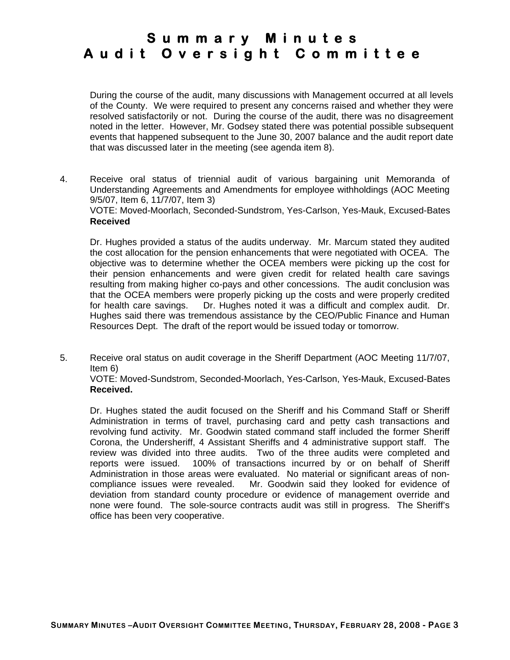During the course of the audit, many discussions with Management occurred at all levels of the County. We were required to present any concerns raised and whether they were resolved satisfactorily or not. During the course of the audit, there was no disagreement noted in the letter. However, Mr. Godsey stated there was potential possible subsequent events that happened subsequent to the June 30, 2007 balance and the audit report date that was discussed later in the meeting (see agenda item 8).

4. Receive oral status of triennial audit of various bargaining unit Memoranda of Understanding Agreements and Amendments for employee withholdings (AOC Meeting 9/5/07, Item 6, 11/7/07, Item 3)

VOTE: Moved-Moorlach, Seconded-Sundstrom, Yes-Carlson, Yes-Mauk, Excused-Bates **Received** 

Dr. Hughes provided a status of the audits underway. Mr. Marcum stated they audited the cost allocation for the pension enhancements that were negotiated with OCEA. The objective was to determine whether the OCEA members were picking up the cost for their pension enhancements and were given credit for related health care savings resulting from making higher co-pays and other concessions. The audit conclusion was that the OCEA members were properly picking up the costs and were properly credited for health care savings. Dr. Hughes noted it was a difficult and complex audit. Dr. Hughes said there was tremendous assistance by the CEO/Public Finance and Human Resources Dept. The draft of the report would be issued today or tomorrow.

5. Receive oral status on audit coverage in the Sheriff Department (AOC Meeting 11/7/07, Item 6)

VOTE: Moved-Sundstrom, Seconded-Moorlach, Yes-Carlson, Yes-Mauk, Excused-Bates **Received.**

Dr. Hughes stated the audit focused on the Sheriff and his Command Staff or Sheriff Administration in terms of travel, purchasing card and petty cash transactions and revolving fund activity. Mr. Goodwin stated command staff included the former Sheriff Corona, the Undersheriff, 4 Assistant Sheriffs and 4 administrative support staff. The review was divided into three audits. Two of the three audits were completed and reports were issued. 100% of transactions incurred by or on behalf of Sheriff Administration in those areas were evaluated. No material or significant areas of noncompliance issues were revealed. Mr. Goodwin said they looked for evidence of deviation from standard county procedure or evidence of management override and none were found. The sole-source contracts audit was still in progress. The Sheriff's office has been very cooperative.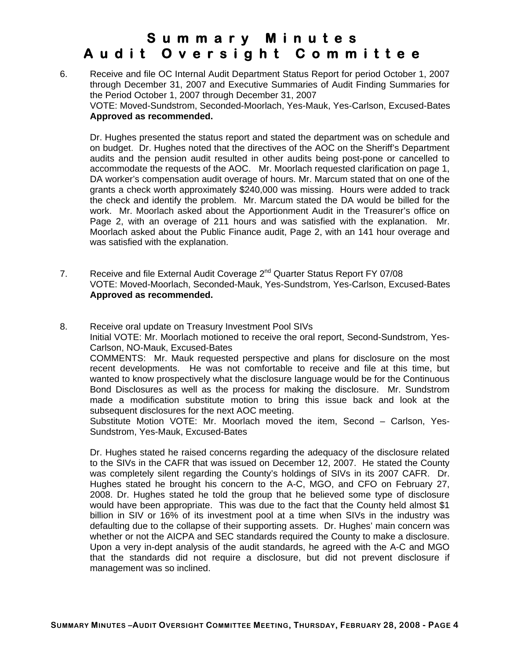6. Receive and file OC Internal Audit Department Status Report for period October 1, 2007 through December 31, 2007 and Executive Summaries of Audit Finding Summaries for the Period October 1, 2007 through December 31, 2007 VOTE: Moved-Sundstrom, Seconded-Moorlach, Yes-Mauk, Yes-Carlson, Excused-Bates **Approved as recommended.**

Dr. Hughes presented the status report and stated the department was on schedule and on budget. Dr. Hughes noted that the directives of the AOC on the Sheriff's Department audits and the pension audit resulted in other audits being post-pone or cancelled to accommodate the requests of the AOC. Mr. Moorlach requested clarification on page 1, DA worker's compensation audit overage of hours. Mr. Marcum stated that on one of the grants a check worth approximately \$240,000 was missing. Hours were added to track the check and identify the problem. Mr. Marcum stated the DA would be billed for the work. Mr. Moorlach asked about the Apportionment Audit in the Treasurer's office on Page 2, with an overage of 211 hours and was satisfied with the explanation. Mr. Moorlach asked about the Public Finance audit, Page 2, with an 141 hour overage and was satisfied with the explanation.

7. Receive and file External Audit Coverage  $2^{nd}$  Quarter Status Report FY 07/08 VOTE: Moved-Moorlach, Seconded-Mauk, Yes-Sundstrom, Yes-Carlson, Excused-Bates **Approved as recommended.** 

8. Receive oral update on Treasury Investment Pool SIVs Initial VOTE: Mr. Moorlach motioned to receive the oral report, Second-Sundstrom, Yes-Carlson, NO-Mauk, Excused-Bates COMMENTS: Mr. Mauk requested perspective and plans for disclosure on the most recent developments. He was not comfortable to receive and file at this time, but wanted to know prospectively what the disclosure language would be for the Continuous Bond Disclosures as well as the process for making the disclosure. Mr. Sundstrom made a modification substitute motion to bring this issue back and look at the subsequent disclosures for the next AOC meeting. Substitute Motion VOTE: Mr. Moorlach moved the item, Second – Carlson, Yes-Sundstrom, Yes-Mauk, Excused-Bates

 Dr. Hughes stated he raised concerns regarding the adequacy of the disclosure related to the SIVs in the CAFR that was issued on December 12, 2007. He stated the County was completely silent regarding the County's holdings of SIVs in its 2007 CAFR. Dr. Hughes stated he brought his concern to the A-C, MGO, and CFO on February 27, 2008. Dr. Hughes stated he told the group that he believed some type of disclosure would have been appropriate. This was due to the fact that the County held almost \$1 billion in SIV or 16% of its investment pool at a time when SIVs in the industry was defaulting due to the collapse of their supporting assets. Dr. Hughes' main concern was whether or not the AICPA and SEC standards required the County to make a disclosure. Upon a very in-dept analysis of the audit standards, he agreed with the A-C and MGO that the standards did not require a disclosure, but did not prevent disclosure if management was so inclined.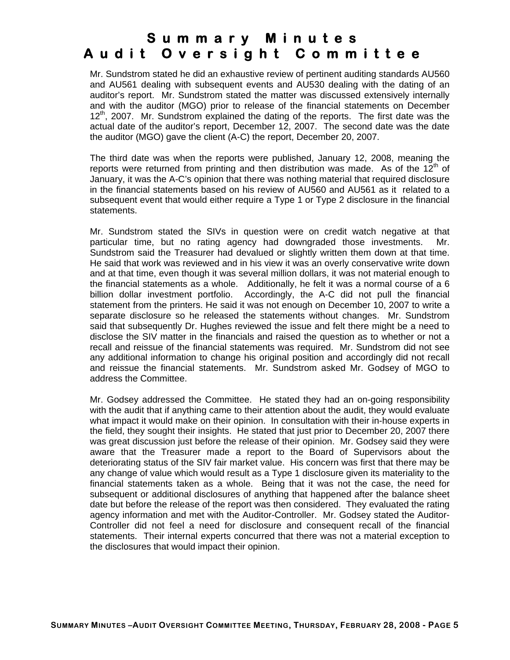Mr. Sundstrom stated he did an exhaustive review of pertinent auditing standards AU560 and AU561 dealing with subsequent events and AU530 dealing with the dating of an auditor's report. Mr. Sundstrom stated the matter was discussed extensively internally and with the auditor (MGO) prior to release of the financial statements on December  $12<sup>th</sup>$ , 2007. Mr. Sundstrom explained the dating of the reports. The first date was the actual date of the auditor's report, December 12, 2007. The second date was the date the auditor (MGO) gave the client (A-C) the report, December 20, 2007.

The third date was when the reports were published, January 12, 2008, meaning the reports were returned from printing and then distribution was made. As of the  $12<sup>th</sup>$  of January, it was the A-C's opinion that there was nothing material that required disclosure in the financial statements based on his review of AU560 and AU561 as it related to a subsequent event that would either require a Type 1 or Type 2 disclosure in the financial statements.

 Mr. Sundstrom stated the SIVs in question were on credit watch negative at that particular time, but no rating agency had downgraded those investments. Mr. Sundstrom said the Treasurer had devalued or slightly written them down at that time. He said that work was reviewed and in his view it was an overly conservative write down and at that time, even though it was several million dollars, it was not material enough to the financial statements as a whole. Additionally, he felt it was a normal course of a 6 billion dollar investment portfolio. Accordingly, the A-C did not pull the financial statement from the printers. He said it was not enough on December 10, 2007 to write a separate disclosure so he released the statements without changes. Mr. Sundstrom said that subsequently Dr. Hughes reviewed the issue and felt there might be a need to disclose the SIV matter in the financials and raised the question as to whether or not a recall and reissue of the financial statements was required. Mr. Sundstrom did not see any additional information to change his original position and accordingly did not recall and reissue the financial statements. Mr. Sundstrom asked Mr. Godsey of MGO to address the Committee.

Mr. Godsey addressed the Committee. He stated they had an on-going responsibility with the audit that if anything came to their attention about the audit, they would evaluate what impact it would make on their opinion. In consultation with their in-house experts in the field, they sought their insights. He stated that just prior to December 20, 2007 there was great discussion just before the release of their opinion. Mr. Godsey said they were aware that the Treasurer made a report to the Board of Supervisors about the deteriorating status of the SIV fair market value. His concern was first that there may be any change of value which would result as a Type 1 disclosure given its materiality to the financial statements taken as a whole. Being that it was not the case, the need for subsequent or additional disclosures of anything that happened after the balance sheet date but before the release of the report was then considered. They evaluated the rating agency information and met with the Auditor-Controller. Mr. Godsey stated the Auditor-Controller did not feel a need for disclosure and consequent recall of the financial statements. Their internal experts concurred that there was not a material exception to the disclosures that would impact their opinion.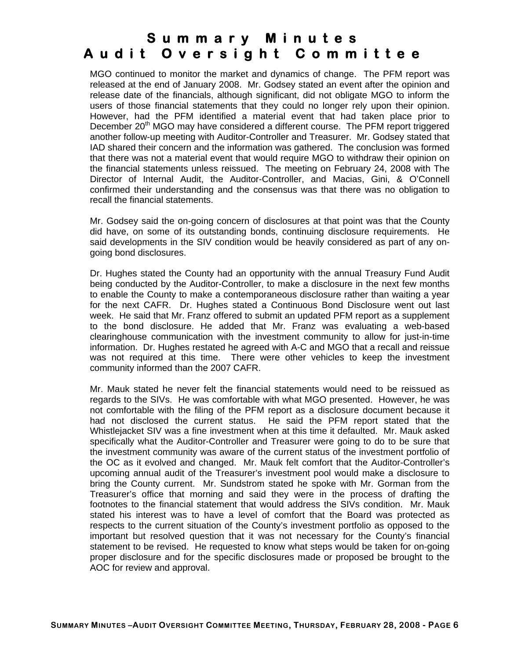MGO continued to monitor the market and dynamics of change. The PFM report was released at the end of January 2008. Mr. Godsey stated an event after the opinion and release date of the financials, although significant, did not obligate MGO to inform the users of those financial statements that they could no longer rely upon their opinion. However, had the PFM identified a material event that had taken place prior to December 20<sup>th</sup> MGO may have considered a different course. The PFM report triggered another follow-up meeting with Auditor-Controller and Treasurer. Mr. Godsey stated that IAD shared their concern and the information was gathered. The conclusion was formed that there was not a material event that would require MGO to withdraw their opinion on the financial statements unless reissued. The meeting on February 24, 2008 with The Director of Internal Audit, the Auditor-Controller, and Macias, Gini, & O'Connell confirmed their understanding and the consensus was that there was no obligation to recall the financial statements.

Mr. Godsey said the on-going concern of disclosures at that point was that the County did have, on some of its outstanding bonds, continuing disclosure requirements. He said developments in the SIV condition would be heavily considered as part of any ongoing bond disclosures.

Dr. Hughes stated the County had an opportunity with the annual Treasury Fund Audit being conducted by the Auditor-Controller, to make a disclosure in the next few months to enable the County to make a contemporaneous disclosure rather than waiting a year for the next CAFR. Dr. Hughes stated a Continuous Bond Disclosure went out last week. He said that Mr. Franz offered to submit an updated PFM report as a supplement to the bond disclosure. He added that Mr. Franz was evaluating a web-based clearinghouse communication with the investment community to allow for just-in-time information. Dr. Hughes restated he agreed with A-C and MGO that a recall and reissue was not required at this time. There were other vehicles to keep the investment community informed than the 2007 CAFR.

Mr. Mauk stated he never felt the financial statements would need to be reissued as regards to the SIVs. He was comfortable with what MGO presented. However, he was not comfortable with the filing of the PFM report as a disclosure document because it had not disclosed the current status. He said the PFM report stated that the Whistlejacket SIV was a fine investment when at this time it defaulted. Mr. Mauk asked specifically what the Auditor-Controller and Treasurer were going to do to be sure that the investment community was aware of the current status of the investment portfolio of the OC as it evolved and changed. Mr. Mauk felt comfort that the Auditor-Controller's upcoming annual audit of the Treasurer's investment pool would make a disclosure to bring the County current. Mr. Sundstrom stated he spoke with Mr. Gorman from the Treasurer's office that morning and said they were in the process of drafting the footnotes to the financial statement that would address the SIVs condition. Mr. Mauk stated his interest was to have a level of comfort that the Board was protected as respects to the current situation of the County's investment portfolio as opposed to the important but resolved question that it was not necessary for the County's financial statement to be revised. He requested to know what steps would be taken for on-going proper disclosure and for the specific disclosures made or proposed be brought to the AOC for review and approval.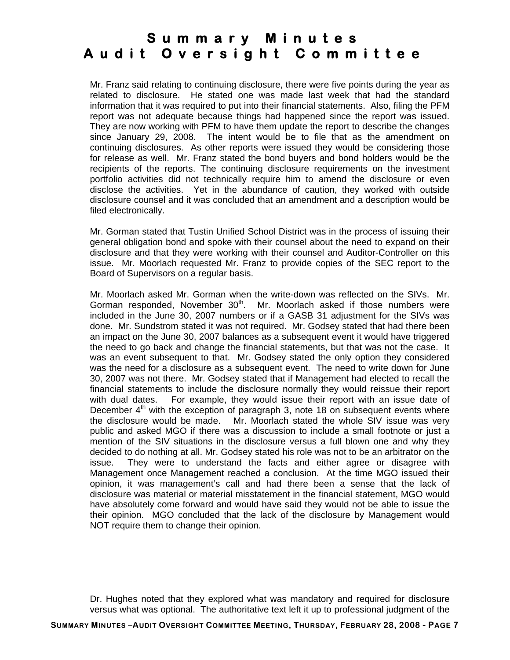Mr. Franz said relating to continuing disclosure, there were five points during the year as related to disclosure. He stated one was made last week that had the standard information that it was required to put into their financial statements. Also, filing the PFM report was not adequate because things had happened since the report was issued. They are now working with PFM to have them update the report to describe the changes since January 29, 2008. The intent would be to file that as the amendment on continuing disclosures. As other reports were issued they would be considering those for release as well. Mr. Franz stated the bond buyers and bond holders would be the recipients of the reports. The continuing disclosure requirements on the investment portfolio activities did not technically require him to amend the disclosure or even disclose the activities. Yet in the abundance of caution, they worked with outside disclosure counsel and it was concluded that an amendment and a description would be filed electronically.

Mr. Gorman stated that Tustin Unified School District was in the process of issuing their general obligation bond and spoke with their counsel about the need to expand on their disclosure and that they were working with their counsel and Auditor-Controller on this issue. Mr. Moorlach requested Mr. Franz to provide copies of the SEC report to the Board of Supervisors on a regular basis.

Mr. Moorlach asked Mr. Gorman when the write-down was reflected on the SIVs. Mr. Gorman responded, November  $30<sup>th</sup>$ . Mr. Moorlach asked if those numbers were included in the June 30, 2007 numbers or if a GASB 31 adjustment for the SIVs was done. Mr. Sundstrom stated it was not required. Mr. Godsey stated that had there been an impact on the June 30, 2007 balances as a subsequent event it would have triggered the need to go back and change the financial statements, but that was not the case. It was an event subsequent to that. Mr. Godsey stated the only option they considered was the need for a disclosure as a subsequent event. The need to write down for June 30, 2007 was not there. Mr. Godsey stated that if Management had elected to recall the financial statements to include the disclosure normally they would reissue their report with dual dates. For example, they would issue their report with an issue date of December  $4<sup>th</sup>$  with the exception of paragraph 3, note 18 on subsequent events where the disclosure would be made. Mr. Moorlach stated the whole SIV issue was very public and asked MGO if there was a discussion to include a small footnote or just a mention of the SIV situations in the disclosure versus a full blown one and why they decided to do nothing at all. Mr. Godsey stated his role was not to be an arbitrator on the issue. They were to understand the facts and either agree or disagree with Management once Management reached a conclusion. At the time MGO issued their opinion, it was management's call and had there been a sense that the lack of disclosure was material or material misstatement in the financial statement, MGO would have absolutely come forward and would have said they would not be able to issue the their opinion. MGO concluded that the lack of the disclosure by Management would NOT require them to change their opinion.

Dr. Hughes noted that they explored what was mandatory and required for disclosure versus what was optional. The authoritative text left it up to professional judgment of the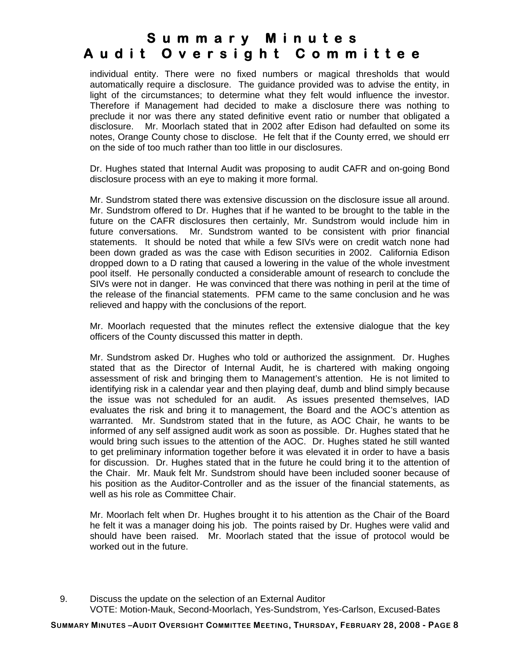individual entity. There were no fixed numbers or magical thresholds that would automatically require a disclosure. The guidance provided was to advise the entity, in light of the circumstances; to determine what they felt would influence the investor. Therefore if Management had decided to make a disclosure there was nothing to preclude it nor was there any stated definitive event ratio or number that obligated a disclosure. Mr. Moorlach stated that in 2002 after Edison had defaulted on some its notes, Orange County chose to disclose. He felt that if the County erred, we should err on the side of too much rather than too little in our disclosures.

 Dr. Hughes stated that Internal Audit was proposing to audit CAFR and on-going Bond disclosure process with an eye to making it more formal.

 Mr. Sundstrom stated there was extensive discussion on the disclosure issue all around. Mr. Sundstrom offered to Dr. Hughes that if he wanted to be brought to the table in the future on the CAFR disclosures then certainly, Mr. Sundstrom would include him in future conversations. Mr. Sundstrom wanted to be consistent with prior financial statements. It should be noted that while a few SIVs were on credit watch none had been down graded as was the case with Edison securities in 2002. California Edison dropped down to a D rating that caused a lowering in the value of the whole investment pool itself. He personally conducted a considerable amount of research to conclude the SIVs were not in danger. He was convinced that there was nothing in peril at the time of the release of the financial statements. PFM came to the same conclusion and he was relieved and happy with the conclusions of the report.

Mr. Moorlach requested that the minutes reflect the extensive dialogue that the key officers of the County discussed this matter in depth.

Mr. Sundstrom asked Dr. Hughes who told or authorized the assignment. Dr. Hughes stated that as the Director of Internal Audit, he is chartered with making ongoing assessment of risk and bringing them to Management's attention. He is not limited to identifying risk in a calendar year and then playing deaf, dumb and blind simply because the issue was not scheduled for an audit. As issues presented themselves, IAD evaluates the risk and bring it to management, the Board and the AOC's attention as warranted. Mr. Sundstrom stated that in the future, as AOC Chair, he wants to be informed of any self assigned audit work as soon as possible. Dr. Hughes stated that he would bring such issues to the attention of the AOC. Dr. Hughes stated he still wanted to get preliminary information together before it was elevated it in order to have a basis for discussion. Dr. Hughes stated that in the future he could bring it to the attention of the Chair. Mr. Mauk felt Mr. Sundstrom should have been included sooner because of his position as the Auditor-Controller and as the issuer of the financial statements, as well as his role as Committee Chair.

Mr. Moorlach felt when Dr. Hughes brought it to his attention as the Chair of the Board he felt it was a manager doing his job. The points raised by Dr. Hughes were valid and should have been raised. Mr. Moorlach stated that the issue of protocol would be worked out in the future.

9. Discuss the update on the selection of an External Auditor VOTE: Motion-Mauk, Second-Moorlach, Yes-Sundstrom, Yes-Carlson, Excused-Bates